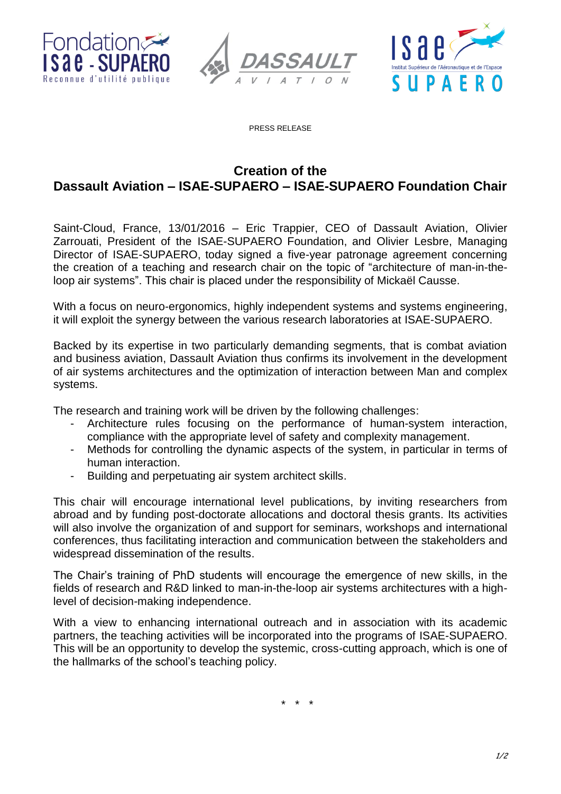





PRESS RELEASE

# **Creation of the Dassault Aviation – ISAE-SUPAERO – ISAE-SUPAERO Foundation Chair**

Saint-Cloud, France, 13/01/2016 – Eric Trappier, CEO of Dassault Aviation, Olivier Zarrouati, President of the ISAE-SUPAERO Foundation, and Olivier Lesbre, Managing Director of ISAE-SUPAERO, today signed a five-year patronage agreement concerning the creation of a teaching and research chair on the topic of "architecture of man-in-theloop air systems". This chair is placed under the responsibility of Mickaël Causse.

With a focus on neuro-ergonomics, highly independent systems and systems engineering, it will exploit the synergy between the various research laboratories at ISAE-SUPAERO.

Backed by its expertise in two particularly demanding segments, that is combat aviation and business aviation, Dassault Aviation thus confirms its involvement in the development of air systems architectures and the optimization of interaction between Man and complex systems.

The research and training work will be driven by the following challenges:

- Architecture rules focusing on the performance of human-system interaction, compliance with the appropriate level of safety and complexity management.
- Methods for controlling the dynamic aspects of the system, in particular in terms of human interaction.
- Building and perpetuating air system architect skills.

This chair will encourage international level publications, by inviting researchers from abroad and by funding post-doctorate allocations and doctoral thesis grants. Its activities will also involve the organization of and support for seminars, workshops and international conferences, thus facilitating interaction and communication between the stakeholders and widespread dissemination of the results.

The Chair's training of PhD students will encourage the emergence of new skills, in the fields of research and R&D linked to man-in-the-loop air systems architectures with a highlevel of decision-making independence.

With a view to enhancing international outreach and in association with its academic partners, the teaching activities will be incorporated into the programs of ISAE-SUPAERO. This will be an opportunity to develop the systemic, cross-cutting approach, which is one of the hallmarks of the school's teaching policy.

\* \* \*